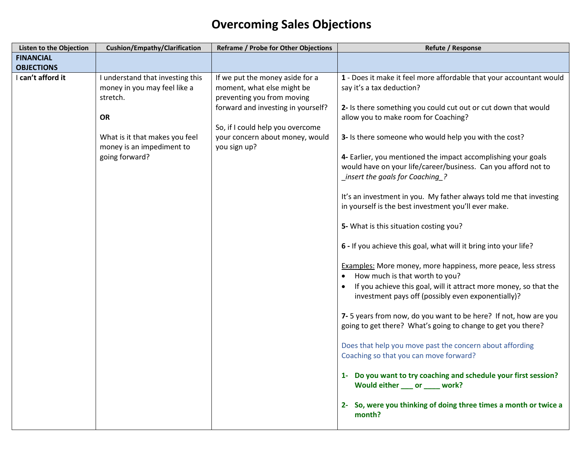## **Overcoming Sales Objections**

| <b>Listen to the Objection</b> | Cushion/Empathy/Clarification                                                                                                                                              | <b>Reframe / Probe for Other Objections</b>                                                                                                                                                                              | <b>Refute / Response</b>                                                                                                                                                                                                                                                                                                                                                                                                                                                                                                                                                                                                                                                                                                                                                                                                                                                                                                                                                                                                                                                                                                                                                                                                                                                                                                                               |
|--------------------------------|----------------------------------------------------------------------------------------------------------------------------------------------------------------------------|--------------------------------------------------------------------------------------------------------------------------------------------------------------------------------------------------------------------------|--------------------------------------------------------------------------------------------------------------------------------------------------------------------------------------------------------------------------------------------------------------------------------------------------------------------------------------------------------------------------------------------------------------------------------------------------------------------------------------------------------------------------------------------------------------------------------------------------------------------------------------------------------------------------------------------------------------------------------------------------------------------------------------------------------------------------------------------------------------------------------------------------------------------------------------------------------------------------------------------------------------------------------------------------------------------------------------------------------------------------------------------------------------------------------------------------------------------------------------------------------------------------------------------------------------------------------------------------------|
| <b>FINANCIAL</b>               |                                                                                                                                                                            |                                                                                                                                                                                                                          |                                                                                                                                                                                                                                                                                                                                                                                                                                                                                                                                                                                                                                                                                                                                                                                                                                                                                                                                                                                                                                                                                                                                                                                                                                                                                                                                                        |
| <b>OBJECTIONS</b>              |                                                                                                                                                                            |                                                                                                                                                                                                                          |                                                                                                                                                                                                                                                                                                                                                                                                                                                                                                                                                                                                                                                                                                                                                                                                                                                                                                                                                                                                                                                                                                                                                                                                                                                                                                                                                        |
| I can't afford it              | I understand that investing this<br>money in you may feel like a<br>stretch.<br><b>OR</b><br>What is it that makes you feel<br>money is an impediment to<br>going forward? | If we put the money aside for a<br>moment, what else might be<br>preventing you from moving<br>forward and investing in yourself?<br>So, if I could help you overcome<br>your concern about money, would<br>you sign up? | 1 - Does it make it feel more affordable that your accountant would<br>say it's a tax deduction?<br>2- Is there something you could cut out or cut down that would<br>allow you to make room for Coaching?<br>3- Is there someone who would help you with the cost?<br>4- Earlier, you mentioned the impact accomplishing your goals<br>would have on your life/career/business. Can you afford not to<br>insert the goals for Coaching<br>It's an investment in you. My father always told me that investing<br>in yourself is the best investment you'll ever make.<br>5- What is this situation costing you?<br>6 - If you achieve this goal, what will it bring into your life?<br><b>Examples:</b> More money, more happiness, more peace, less stress<br>How much is that worth to you?<br>If you achieve this goal, will it attract more money, so that the<br>investment pays off (possibly even exponentially)?<br>7-5 years from now, do you want to be here? If not, how are you<br>going to get there? What's going to change to get you there?<br>Does that help you move past the concern about affording<br>Coaching so that you can move forward?<br>1- Do you want to try coaching and schedule your first session?<br>Would either ____ or _____ work?<br>2- So, were you thinking of doing three times a month or twice a<br>month? |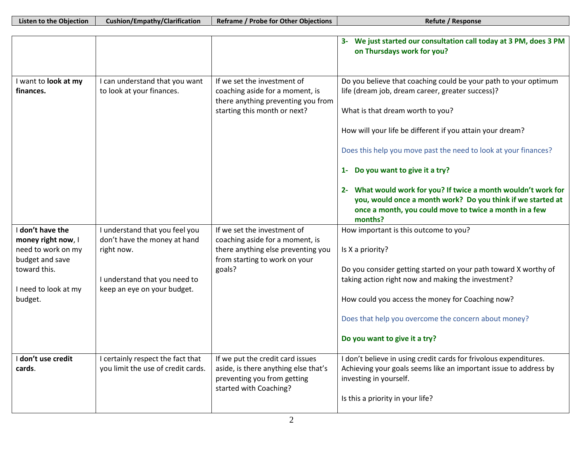| <b>Listen to the Objection</b>                                                                                                     | <b>Cushion/Empathy/Clarification</b>                                                                                                         | <b>Reframe / Probe for Other Objections</b>                                                                                                     | Refute / Response                                                                                                                                                                                                                                                                                                                                                                                                                                                                                                                 |
|------------------------------------------------------------------------------------------------------------------------------------|----------------------------------------------------------------------------------------------------------------------------------------------|-------------------------------------------------------------------------------------------------------------------------------------------------|-----------------------------------------------------------------------------------------------------------------------------------------------------------------------------------------------------------------------------------------------------------------------------------------------------------------------------------------------------------------------------------------------------------------------------------------------------------------------------------------------------------------------------------|
|                                                                                                                                    |                                                                                                                                              |                                                                                                                                                 |                                                                                                                                                                                                                                                                                                                                                                                                                                                                                                                                   |
|                                                                                                                                    |                                                                                                                                              |                                                                                                                                                 | 3- We just started our consultation call today at 3 PM, does 3 PM<br>on Thursdays work for you?                                                                                                                                                                                                                                                                                                                                                                                                                                   |
| I want to look at my<br>finances.                                                                                                  | can understand that you want<br>to look at your finances.                                                                                    | If we set the investment of<br>coaching aside for a moment, is<br>there anything preventing you from<br>starting this month or next?            | Do you believe that coaching could be your path to your optimum<br>life (dream job, dream career, greater success)?<br>What is that dream worth to you?<br>How will your life be different if you attain your dream?<br>Does this help you move past the need to look at your finances?<br>1- Do you want to give it a try?<br>2- What would work for you? If twice a month wouldn't work for<br>you, would once a month work? Do you think if we started at<br>once a month, you could move to twice a month in a few<br>months? |
| I don't have the<br>money right now, I<br>need to work on my<br>budget and save<br>toward this.<br>I need to look at my<br>budget. | I understand that you feel you<br>don't have the money at hand<br>right now.<br>I understand that you need to<br>keep an eye on your budget. | If we set the investment of<br>coaching aside for a moment, is<br>there anything else preventing you<br>from starting to work on your<br>goals? | How important is this outcome to you?<br>Is X a priority?<br>Do you consider getting started on your path toward X worthy of<br>taking action right now and making the investment?<br>How could you access the money for Coaching now?<br>Does that help you overcome the concern about money?<br>Do you want to give it a try?                                                                                                                                                                                                   |
| I don't use credit<br>cards.                                                                                                       | certainly respect the fact that<br>you limit the use of credit cards.                                                                        | If we put the credit card issues<br>aside, is there anything else that's<br>preventing you from getting<br>started with Coaching?               | I don't believe in using credit cards for frivolous expenditures.<br>Achieving your goals seems like an important issue to address by<br>investing in yourself.<br>Is this a priority in your life?                                                                                                                                                                                                                                                                                                                               |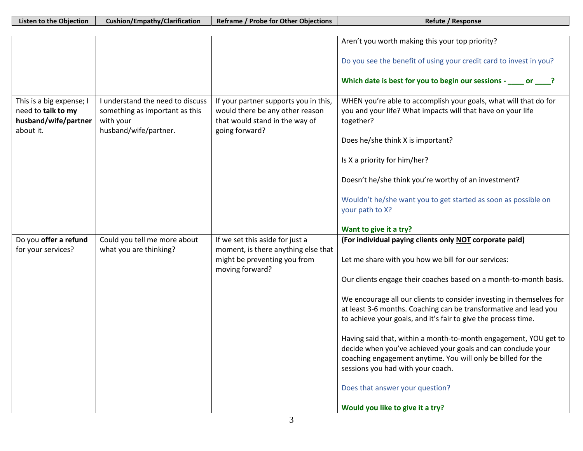|                                                                                     |                                                                                                          |                                                                                                                              | Aren't you worth making this your top priority?                                                                                                                                                                                       |
|-------------------------------------------------------------------------------------|----------------------------------------------------------------------------------------------------------|------------------------------------------------------------------------------------------------------------------------------|---------------------------------------------------------------------------------------------------------------------------------------------------------------------------------------------------------------------------------------|
|                                                                                     |                                                                                                          |                                                                                                                              | Do you see the benefit of using your credit card to invest in you?                                                                                                                                                                    |
|                                                                                     |                                                                                                          |                                                                                                                              | Which date is best for you to begin our sessions - _____ or ____?                                                                                                                                                                     |
| This is a big expense; I<br>need to talk to my<br>husband/wife/partner<br>about it. | I understand the need to discuss<br>something as important as this<br>with your<br>husband/wife/partner. | If your partner supports you in this,<br>would there be any other reason<br>that would stand in the way of<br>going forward? | WHEN you're able to accomplish your goals, what will that do for<br>you and your life? What impacts will that have on your life<br>together?                                                                                          |
|                                                                                     |                                                                                                          |                                                                                                                              | Does he/she think X is important?                                                                                                                                                                                                     |
|                                                                                     |                                                                                                          |                                                                                                                              | Is X a priority for him/her?                                                                                                                                                                                                          |
|                                                                                     |                                                                                                          |                                                                                                                              | Doesn't he/she think you're worthy of an investment?                                                                                                                                                                                  |
|                                                                                     |                                                                                                          |                                                                                                                              | Wouldn't he/she want you to get started as soon as possible on<br>your path to X?                                                                                                                                                     |
|                                                                                     |                                                                                                          |                                                                                                                              | Want to give it a try?                                                                                                                                                                                                                |
| Do you offer a refund                                                               | Could you tell me more about                                                                             | If we set this aside for just a                                                                                              | (For individual paying clients only NOT corporate paid)                                                                                                                                                                               |
| for your services?                                                                  | what you are thinking?                                                                                   | moment, is there anything else that<br>might be preventing you from<br>moving forward?                                       | Let me share with you how we bill for our services:                                                                                                                                                                                   |
|                                                                                     |                                                                                                          |                                                                                                                              | Our clients engage their coaches based on a month-to-month basis.                                                                                                                                                                     |
|                                                                                     |                                                                                                          |                                                                                                                              | We encourage all our clients to consider investing in themselves for<br>at least 3-6 months. Coaching can be transformative and lead you<br>to achieve your goals, and it's fair to give the process time.                            |
|                                                                                     |                                                                                                          |                                                                                                                              | Having said that, within a month-to-month engagement, YOU get to<br>decide when you've achieved your goals and can conclude your<br>coaching engagement anytime. You will only be billed for the<br>sessions you had with your coach. |
|                                                                                     |                                                                                                          |                                                                                                                              | Does that answer your question?                                                                                                                                                                                                       |
|                                                                                     |                                                                                                          |                                                                                                                              |                                                                                                                                                                                                                                       |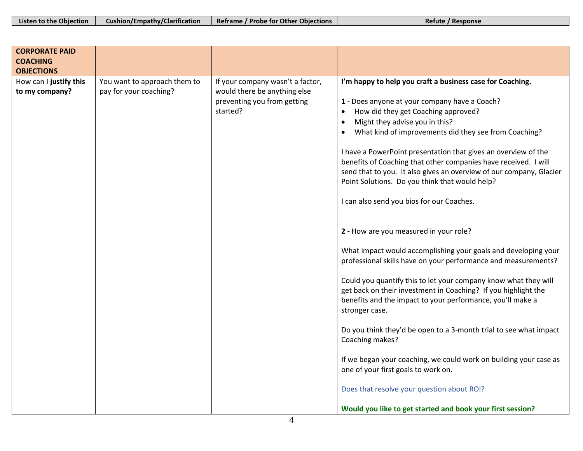| Listen to the Objection<br><b>Cushion/Empathy/Clarification</b><br>Reframe / Probe for Other Objections<br>Refute / Response |
|------------------------------------------------------------------------------------------------------------------------------|
|------------------------------------------------------------------------------------------------------------------------------|

| <b>CORPORATE PAID</b><br><b>COACHING</b> |                              |                                  |                                                                                                                                                                                                                                                            |
|------------------------------------------|------------------------------|----------------------------------|------------------------------------------------------------------------------------------------------------------------------------------------------------------------------------------------------------------------------------------------------------|
| <b>OBJECTIONS</b>                        |                              |                                  |                                                                                                                                                                                                                                                            |
| How can I justify this                   | You want to approach them to | If your company wasn't a factor, | I'm happy to help you craft a business case for Coaching.                                                                                                                                                                                                  |
| to my company?                           | pay for your coaching?       | would there be anything else     |                                                                                                                                                                                                                                                            |
|                                          |                              | preventing you from getting      | 1 - Does anyone at your company have a Coach?                                                                                                                                                                                                              |
|                                          |                              | started?                         | How did they get Coaching approved?<br>$\bullet$                                                                                                                                                                                                           |
|                                          |                              |                                  | Might they advise you in this?<br>$\bullet$                                                                                                                                                                                                                |
|                                          |                              |                                  | What kind of improvements did they see from Coaching?<br>$\bullet$                                                                                                                                                                                         |
|                                          |                              |                                  | I have a PowerPoint presentation that gives an overview of the<br>benefits of Coaching that other companies have received. I will<br>send that to you. It also gives an overview of our company, Glacier<br>Point Solutions. Do you think that would help? |
|                                          |                              |                                  | I can also send you bios for our Coaches.                                                                                                                                                                                                                  |
|                                          |                              |                                  | 2 - How are you measured in your role?                                                                                                                                                                                                                     |
|                                          |                              |                                  | What impact would accomplishing your goals and developing your<br>professional skills have on your performance and measurements?                                                                                                                           |
|                                          |                              |                                  | Could you quantify this to let your company know what they will<br>get back on their investment in Coaching? If you highlight the<br>benefits and the impact to your performance, you'll make a<br>stronger case.                                          |
|                                          |                              |                                  | Do you think they'd be open to a 3-month trial to see what impact<br>Coaching makes?                                                                                                                                                                       |
|                                          |                              |                                  | If we began your coaching, we could work on building your case as<br>one of your first goals to work on.                                                                                                                                                   |
|                                          |                              |                                  | Does that resolve your question about ROI?                                                                                                                                                                                                                 |
|                                          |                              |                                  | Would you like to get started and book your first session?                                                                                                                                                                                                 |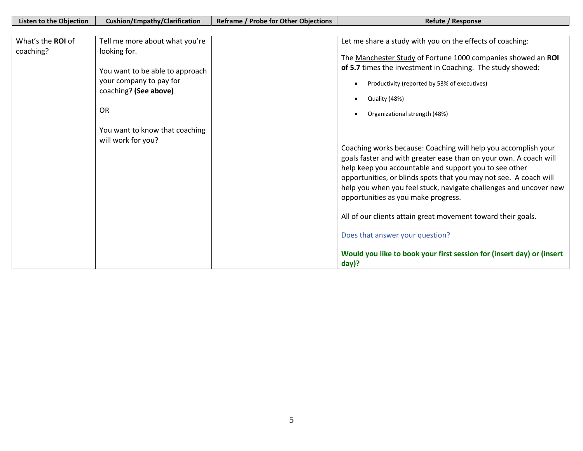| <b>Listen to the Objection</b><br>What's the ROI of<br>coaching? | Cushion/Empathy/Clarification<br>Tell me more about what you're<br>looking for.<br>You want to be able to approach<br>your company to pay for<br>coaching? (See above)<br><b>OR</b><br>You want to know that coaching<br>will work for you? | <b>Reframe / Probe for Other Objections</b> | Refute / Response<br>Let me share a study with you on the effects of coaching:<br>The Manchester Study of Fortune 1000 companies showed an ROI<br>of 5.7 times the investment in Coaching. The study showed:<br>Productivity (reported by 53% of executives)<br>Quality (48%)<br>Organizational strength (48%)<br>Coaching works because: Coaching will help you accomplish your<br>goals faster and with greater ease than on your own. A coach will<br>help keep you accountable and support you to see other<br>opportunities, or blinds spots that you may not see. A coach will<br>help you when you feel stuck, navigate challenges and uncover new<br>opportunities as you make progress. |
|------------------------------------------------------------------|---------------------------------------------------------------------------------------------------------------------------------------------------------------------------------------------------------------------------------------------|---------------------------------------------|--------------------------------------------------------------------------------------------------------------------------------------------------------------------------------------------------------------------------------------------------------------------------------------------------------------------------------------------------------------------------------------------------------------------------------------------------------------------------------------------------------------------------------------------------------------------------------------------------------------------------------------------------------------------------------------------------|
|                                                                  |                                                                                                                                                                                                                                             |                                             | All of our clients attain great movement toward their goals.<br>Does that answer your question?<br>Would you like to book your first session for (insert day) or (insert<br>$day$ ?                                                                                                                                                                                                                                                                                                                                                                                                                                                                                                              |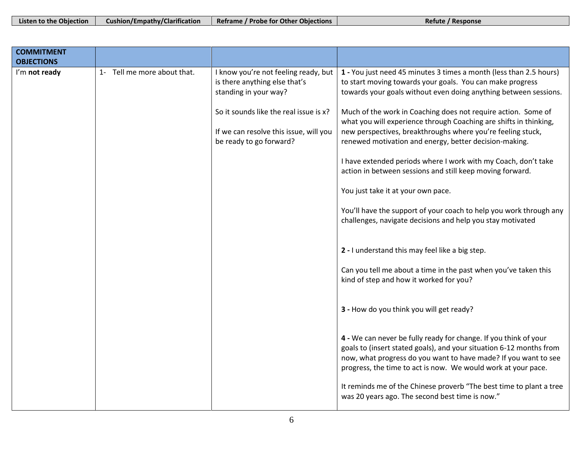| Listen to the Objection | <b>Cushion/Empathy/Clarification</b> | Reframe / Probe for Other Objections | Refute / Response |
|-------------------------|--------------------------------------|--------------------------------------|-------------------|
|-------------------------|--------------------------------------|--------------------------------------|-------------------|

└

| <b>COMMITMENT</b><br><b>OBJECTIONS</b> |                             |                                                                                                             |                                                                                                                                                                                                                                                                             |
|----------------------------------------|-----------------------------|-------------------------------------------------------------------------------------------------------------|-----------------------------------------------------------------------------------------------------------------------------------------------------------------------------------------------------------------------------------------------------------------------------|
| I'm not ready                          | 1- Tell me more about that. | I know you're not feeling ready, but<br>is there anything else that's<br>standing in your way?              | 1 - You just need 45 minutes 3 times a month (less than 2.5 hours)<br>to start moving towards your goals. You can make progress<br>towards your goals without even doing anything between sessions.                                                                         |
|                                        |                             | So it sounds like the real issue is x?<br>If we can resolve this issue, will you<br>be ready to go forward? | Much of the work in Coaching does not require action. Some of<br>what you will experience through Coaching are shifts in thinking,<br>new perspectives, breakthroughs where you're feeling stuck,<br>renewed motivation and energy, better decision-making.                 |
|                                        |                             |                                                                                                             | I have extended periods where I work with my Coach, don't take<br>action in between sessions and still keep moving forward.                                                                                                                                                 |
|                                        |                             |                                                                                                             | You just take it at your own pace.                                                                                                                                                                                                                                          |
|                                        |                             |                                                                                                             | You'll have the support of your coach to help you work through any<br>challenges, navigate decisions and help you stay motivated                                                                                                                                            |
|                                        |                             |                                                                                                             | 2 - I understand this may feel like a big step.                                                                                                                                                                                                                             |
|                                        |                             |                                                                                                             | Can you tell me about a time in the past when you've taken this<br>kind of step and how it worked for you?                                                                                                                                                                  |
|                                        |                             |                                                                                                             | 3 - How do you think you will get ready?                                                                                                                                                                                                                                    |
|                                        |                             |                                                                                                             | 4 - We can never be fully ready for change. If you think of your<br>goals to (insert stated goals), and your situation 6-12 months from<br>now, what progress do you want to have made? If you want to see<br>progress, the time to act is now. We would work at your pace. |
|                                        |                             |                                                                                                             | It reminds me of the Chinese proverb "The best time to plant a tree<br>was 20 years ago. The second best time is now."                                                                                                                                                      |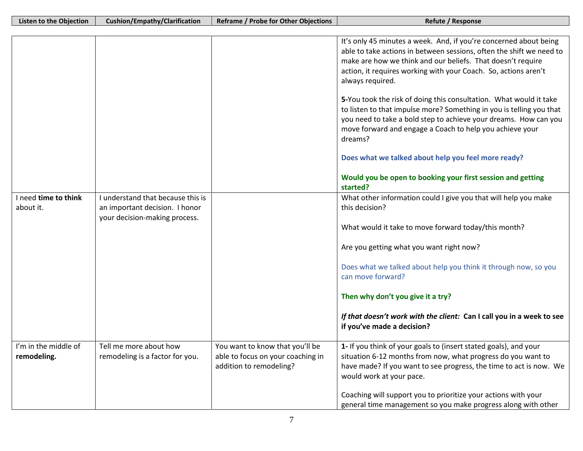|                                     |                                                                                                      |                                                                                                 | It's only 45 minutes a week. And, if you're concerned about being<br>able to take actions in between sessions, often the shift we need to<br>make are how we think and our beliefs. That doesn't require<br>action, it requires working with your Coach. So, actions aren't<br>always required.<br>5-You took the risk of doing this consultation. What would it take<br>to listen to that impulse more? Something in you is telling you that<br>you need to take a bold step to achieve your dreams. How can you<br>move forward and engage a Coach to help you achieve your<br>dreams? |
|-------------------------------------|------------------------------------------------------------------------------------------------------|-------------------------------------------------------------------------------------------------|------------------------------------------------------------------------------------------------------------------------------------------------------------------------------------------------------------------------------------------------------------------------------------------------------------------------------------------------------------------------------------------------------------------------------------------------------------------------------------------------------------------------------------------------------------------------------------------|
|                                     |                                                                                                      |                                                                                                 | Does what we talked about help you feel more ready?                                                                                                                                                                                                                                                                                                                                                                                                                                                                                                                                      |
|                                     |                                                                                                      |                                                                                                 | Would you be open to booking your first session and getting<br>started?                                                                                                                                                                                                                                                                                                                                                                                                                                                                                                                  |
| I need time to think<br>about it.   | I understand that because this is<br>an important decision. I honor<br>your decision-making process. |                                                                                                 | What other information could I give you that will help you make<br>this decision?                                                                                                                                                                                                                                                                                                                                                                                                                                                                                                        |
|                                     |                                                                                                      |                                                                                                 | What would it take to move forward today/this month?                                                                                                                                                                                                                                                                                                                                                                                                                                                                                                                                     |
|                                     |                                                                                                      |                                                                                                 | Are you getting what you want right now?                                                                                                                                                                                                                                                                                                                                                                                                                                                                                                                                                 |
|                                     |                                                                                                      |                                                                                                 | Does what we talked about help you think it through now, so you<br>can move forward?                                                                                                                                                                                                                                                                                                                                                                                                                                                                                                     |
|                                     |                                                                                                      |                                                                                                 | Then why don't you give it a try?                                                                                                                                                                                                                                                                                                                                                                                                                                                                                                                                                        |
|                                     |                                                                                                      |                                                                                                 | If that doesn't work with the client: Can I call you in a week to see<br>if you've made a decision?                                                                                                                                                                                                                                                                                                                                                                                                                                                                                      |
| I'm in the middle of<br>remodeling. | Tell me more about how<br>remodeling is a factor for you.                                            | You want to know that you'll be<br>able to focus on your coaching in<br>addition to remodeling? | 1- If you think of your goals to (insert stated goals), and your<br>situation 6-12 months from now, what progress do you want to<br>have made? If you want to see progress, the time to act is now. We<br>would work at your pace.                                                                                                                                                                                                                                                                                                                                                       |
|                                     |                                                                                                      |                                                                                                 | Coaching will support you to prioritize your actions with your<br>general time management so you make progress along with other                                                                                                                                                                                                                                                                                                                                                                                                                                                          |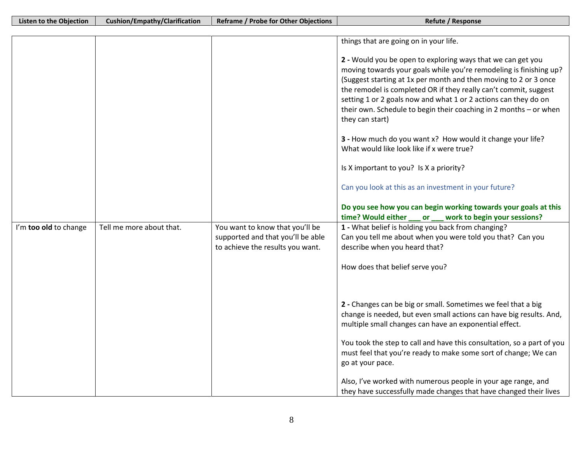|                       |                          |                                                                      | things that are going on in your life.                                                                                                                                                                                                                                                                                                                                                                                               |
|-----------------------|--------------------------|----------------------------------------------------------------------|--------------------------------------------------------------------------------------------------------------------------------------------------------------------------------------------------------------------------------------------------------------------------------------------------------------------------------------------------------------------------------------------------------------------------------------|
|                       |                          |                                                                      |                                                                                                                                                                                                                                                                                                                                                                                                                                      |
|                       |                          |                                                                      | 2 - Would you be open to exploring ways that we can get you<br>moving towards your goals while you're remodeling is finishing up?<br>(Suggest starting at 1x per month and then moving to 2 or 3 once<br>the remodel is completed OR if they really can't commit, suggest<br>setting 1 or 2 goals now and what 1 or 2 actions can they do on<br>their own. Schedule to begin their coaching in 2 months - or when<br>they can start) |
|                       |                          |                                                                      | 3 - How much do you want x? How would it change your life?<br>What would like look like if x were true?                                                                                                                                                                                                                                                                                                                              |
|                       |                          |                                                                      | Is X important to you? Is X a priority?                                                                                                                                                                                                                                                                                                                                                                                              |
|                       |                          |                                                                      | Can you look at this as an investment in your future?                                                                                                                                                                                                                                                                                                                                                                                |
|                       |                          |                                                                      | Do you see how you can begin working towards your goals at this                                                                                                                                                                                                                                                                                                                                                                      |
|                       | Tell me more about that. |                                                                      | work to begin your sessions?<br>time? Would either<br>or<br>1 - What belief is holding you back from changing?                                                                                                                                                                                                                                                                                                                       |
| I'm too old to change |                          | You want to know that you'll be<br>supported and that you'll be able | Can you tell me about when you were told you that? Can you                                                                                                                                                                                                                                                                                                                                                                           |
|                       |                          | to achieve the results you want.                                     | describe when you heard that?                                                                                                                                                                                                                                                                                                                                                                                                        |
|                       |                          |                                                                      |                                                                                                                                                                                                                                                                                                                                                                                                                                      |
|                       |                          |                                                                      | How does that belief serve you?                                                                                                                                                                                                                                                                                                                                                                                                      |
|                       |                          |                                                                      |                                                                                                                                                                                                                                                                                                                                                                                                                                      |
|                       |                          |                                                                      | 2 - Changes can be big or small. Sometimes we feel that a big                                                                                                                                                                                                                                                                                                                                                                        |
|                       |                          |                                                                      | change is needed, but even small actions can have big results. And,<br>multiple small changes can have an exponential effect.                                                                                                                                                                                                                                                                                                        |
|                       |                          |                                                                      | You took the step to call and have this consultation, so a part of you                                                                                                                                                                                                                                                                                                                                                               |
|                       |                          |                                                                      | must feel that you're ready to make some sort of change; We can                                                                                                                                                                                                                                                                                                                                                                      |
|                       |                          |                                                                      | go at your pace.                                                                                                                                                                                                                                                                                                                                                                                                                     |
|                       |                          |                                                                      | Also, I've worked with numerous people in your age range, and                                                                                                                                                                                                                                                                                                                                                                        |
|                       |                          |                                                                      | they have successfully made changes that have changed their lives                                                                                                                                                                                                                                                                                                                                                                    |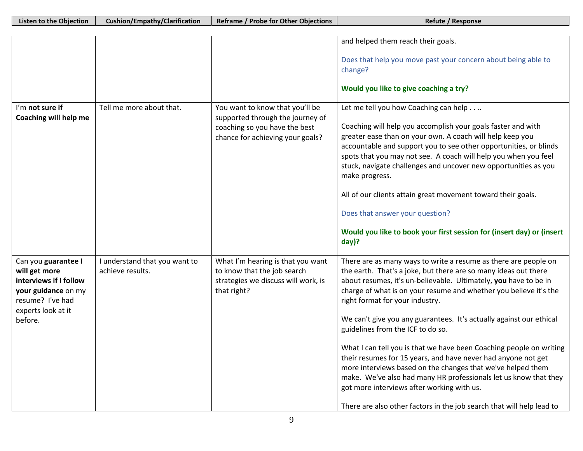|                                                                                                                                            |                                                   |                                                                                                                                          | and helped them reach their goals.                                                                                                                                                                                                                                                                                                                                                                                                                                                                                                                                                                                                                                                                                                                                                                                           |
|--------------------------------------------------------------------------------------------------------------------------------------------|---------------------------------------------------|------------------------------------------------------------------------------------------------------------------------------------------|------------------------------------------------------------------------------------------------------------------------------------------------------------------------------------------------------------------------------------------------------------------------------------------------------------------------------------------------------------------------------------------------------------------------------------------------------------------------------------------------------------------------------------------------------------------------------------------------------------------------------------------------------------------------------------------------------------------------------------------------------------------------------------------------------------------------------|
|                                                                                                                                            |                                                   |                                                                                                                                          | Does that help you move past your concern about being able to<br>change?                                                                                                                                                                                                                                                                                                                                                                                                                                                                                                                                                                                                                                                                                                                                                     |
|                                                                                                                                            |                                                   |                                                                                                                                          | Would you like to give coaching a try?                                                                                                                                                                                                                                                                                                                                                                                                                                                                                                                                                                                                                                                                                                                                                                                       |
| I'm not sure if<br>Coaching will help me                                                                                                   | Tell me more about that.                          | You want to know that you'll be<br>supported through the journey of<br>coaching so you have the best<br>chance for achieving your goals? | Let me tell you how Coaching can help.<br>Coaching will help you accomplish your goals faster and with<br>greater ease than on your own. A coach will help keep you<br>accountable and support you to see other opportunities, or blinds<br>spots that you may not see. A coach will help you when you feel<br>stuck, navigate challenges and uncover new opportunities as you<br>make progress.<br>All of our clients attain great movement toward their goals.<br>Does that answer your question?<br>Would you like to book your first session for (insert day) or (insert<br>$day$ ?                                                                                                                                                                                                                                      |
| Can you guarantee I<br>will get more<br>interviews if I follow<br>your guidance on my<br>resume? I've had<br>experts look at it<br>before. | I understand that you want to<br>achieve results. | What I'm hearing is that you want<br>to know that the job search<br>strategies we discuss will work, is<br>that right?                   | There are as many ways to write a resume as there are people on<br>the earth. That's a joke, but there are so many ideas out there<br>about resumes, it's un-believable. Ultimately, you have to be in<br>charge of what is on your resume and whether you believe it's the<br>right format for your industry.<br>We can't give you any guarantees. It's actually against our ethical<br>guidelines from the ICF to do so.<br>What I can tell you is that we have been Coaching people on writing<br>their resumes for 15 years, and have never had anyone not get<br>more interviews based on the changes that we've helped them<br>make. We've also had many HR professionals let us know that they<br>got more interviews after working with us.<br>There are also other factors in the job search that will help lead to |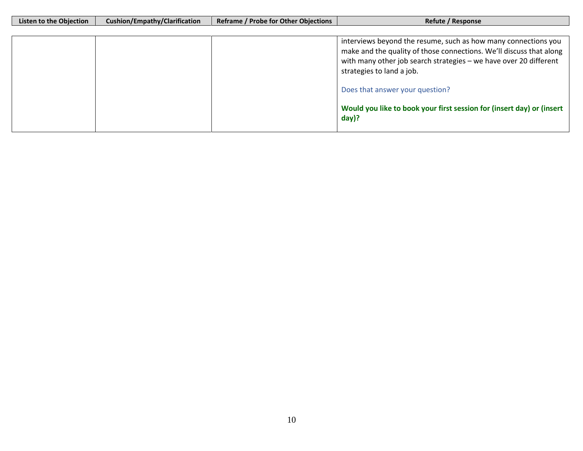| Listen to the Objection | <b>Cushion/Empathy/Clarification</b> | <b>Reframe / Probe for Other Objections</b> | Refute / Response                                                                                                                                                                                                                       |
|-------------------------|--------------------------------------|---------------------------------------------|-----------------------------------------------------------------------------------------------------------------------------------------------------------------------------------------------------------------------------------------|
|                         |                                      |                                             |                                                                                                                                                                                                                                         |
|                         |                                      |                                             | interviews beyond the resume, such as how many connections you<br>make and the quality of those connections. We'll discuss that along<br>with many other job search strategies - we have over 20 different<br>strategies to land a job. |
|                         |                                      |                                             | Does that answer your question?                                                                                                                                                                                                         |
|                         |                                      |                                             | Would you like to book your first session for (insert day) or (insert<br>$day$ ?                                                                                                                                                        |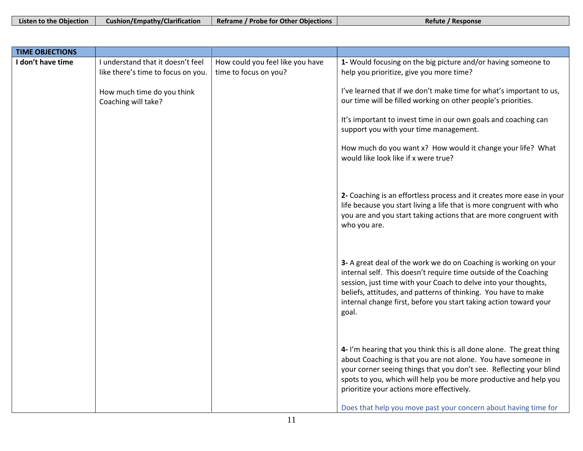| Listen to the Objection | <b>Cushion/Empathy/Clarification</b> Reframe / Probe for Other Objections | Refute / Response |
|-------------------------|---------------------------------------------------------------------------|-------------------|
|                         |                                                                           |                   |

| <b>TIME OBJECTIONS</b> |                                                   |                                  |                                                                                                                                                                                                                                                                                                                                                                                                    |
|------------------------|---------------------------------------------------|----------------------------------|----------------------------------------------------------------------------------------------------------------------------------------------------------------------------------------------------------------------------------------------------------------------------------------------------------------------------------------------------------------------------------------------------|
| I don't have time      | I understand that it doesn't feel                 | How could you feel like you have | 1- Would focusing on the big picture and/or having someone to                                                                                                                                                                                                                                                                                                                                      |
|                        | like there's time to focus on you.                | time to focus on you?            | help you prioritize, give you more time?                                                                                                                                                                                                                                                                                                                                                           |
|                        | How much time do you think<br>Coaching will take? |                                  | I've learned that if we don't make time for what's important to us,<br>our time will be filled working on other people's priorities.                                                                                                                                                                                                                                                               |
|                        |                                                   |                                  | It's important to invest time in our own goals and coaching can<br>support you with your time management.                                                                                                                                                                                                                                                                                          |
|                        |                                                   |                                  | How much do you want x? How would it change your life? What<br>would like look like if x were true?                                                                                                                                                                                                                                                                                                |
|                        |                                                   |                                  | 2- Coaching is an effortless process and it creates more ease in your<br>life because you start living a life that is more congruent with who<br>you are and you start taking actions that are more congruent with<br>who you are.                                                                                                                                                                 |
|                        |                                                   |                                  | 3- A great deal of the work we do on Coaching is working on your<br>internal self. This doesn't require time outside of the Coaching<br>session, just time with your Coach to delve into your thoughts,<br>beliefs, attitudes, and patterns of thinking. You have to make<br>internal change first, before you start taking action toward your<br>goal.                                            |
|                        |                                                   |                                  | 4- I'm hearing that you think this is all done alone. The great thing<br>about Coaching is that you are not alone. You have someone in<br>your corner seeing things that you don't see. Reflecting your blind<br>spots to you, which will help you be more productive and help you<br>prioritize your actions more effectively.<br>Does that help you move past your concern about having time for |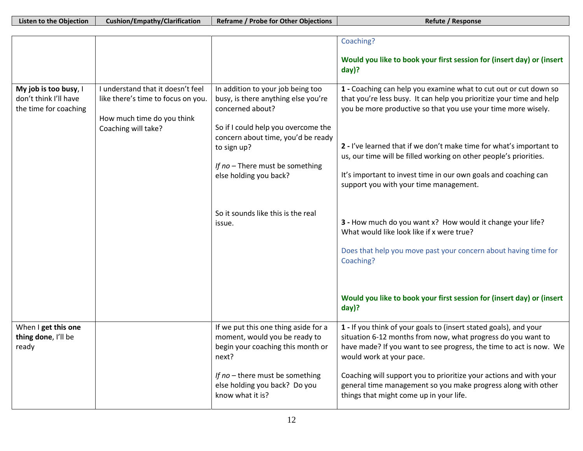|                                                                         |                                                                                                                              |                                                                                                                                                                                                                                                       | Coaching?                                                                                                                                                                                                                                                                                                                                                                                                                                                          |
|-------------------------------------------------------------------------|------------------------------------------------------------------------------------------------------------------------------|-------------------------------------------------------------------------------------------------------------------------------------------------------------------------------------------------------------------------------------------------------|--------------------------------------------------------------------------------------------------------------------------------------------------------------------------------------------------------------------------------------------------------------------------------------------------------------------------------------------------------------------------------------------------------------------------------------------------------------------|
|                                                                         |                                                                                                                              |                                                                                                                                                                                                                                                       | Would you like to book your first session for (insert day) or (insert<br>day)?                                                                                                                                                                                                                                                                                                                                                                                     |
| My job is too busy, I<br>don't think I'll have<br>the time for coaching | I understand that it doesn't feel<br>like there's time to focus on you.<br>How much time do you think<br>Coaching will take? | In addition to your job being too<br>busy, is there anything else you're<br>concerned about?<br>So if I could help you overcome the<br>concern about time, you'd be ready<br>to sign up?<br>If no - There must be something<br>else holding you back? | 1 - Coaching can help you examine what to cut out or cut down so<br>that you're less busy. It can help you prioritize your time and help<br>you be more productive so that you use your time more wisely.<br>2 - I've learned that if we don't make time for what's important to<br>us, our time will be filled working on other people's priorities.<br>It's important to invest time in our own goals and coaching can<br>support you with your time management. |
|                                                                         |                                                                                                                              | So it sounds like this is the real<br>issue.                                                                                                                                                                                                          | 3 - How much do you want x? How would it change your life?<br>What would like look like if x were true?<br>Does that help you move past your concern about having time for<br>Coaching?                                                                                                                                                                                                                                                                            |
|                                                                         |                                                                                                                              |                                                                                                                                                                                                                                                       | Would you like to book your first session for (insert day) or (insert<br>day)?                                                                                                                                                                                                                                                                                                                                                                                     |
| When I get this one<br>thing done, I'll be<br>ready                     |                                                                                                                              | If we put this one thing aside for a<br>moment, would you be ready to<br>begin your coaching this month or<br>next?                                                                                                                                   | 1 - If you think of your goals to (insert stated goals), and your<br>situation 6-12 months from now, what progress do you want to<br>have made? If you want to see progress, the time to act is now. We<br>would work at your pace.                                                                                                                                                                                                                                |
|                                                                         |                                                                                                                              | If no - there must be something<br>else holding you back? Do you<br>know what it is?                                                                                                                                                                  | Coaching will support you to prioritize your actions and with your<br>general time management so you make progress along with other<br>things that might come up in your life.                                                                                                                                                                                                                                                                                     |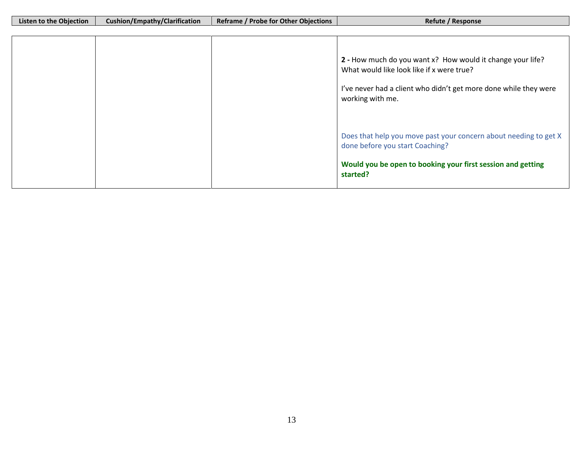| Listen to the Objection | Cushion/Empathy/Clarification | <b>Reframe / Probe for Other Objections</b> | Refute / Response                                                |
|-------------------------|-------------------------------|---------------------------------------------|------------------------------------------------------------------|
|                         |                               |                                             |                                                                  |
|                         |                               |                                             |                                                                  |
|                         |                               |                                             |                                                                  |
|                         |                               |                                             |                                                                  |
|                         |                               |                                             | 2 - How much do you want x? How would it change your life?       |
|                         |                               |                                             | What would like look like if x were true?                        |
|                         |                               |                                             |                                                                  |
|                         |                               |                                             |                                                                  |
|                         |                               |                                             | I've never had a client who didn't get more done while they were |
|                         |                               |                                             | working with me.                                                 |
|                         |                               |                                             |                                                                  |
|                         |                               |                                             |                                                                  |
|                         |                               |                                             |                                                                  |
|                         |                               |                                             |                                                                  |
|                         |                               |                                             | Does that help you move past your concern about needing to get X |
|                         |                               |                                             | done before you start Coaching?                                  |
|                         |                               |                                             |                                                                  |
|                         |                               |                                             | Would you be open to booking your first session and getting      |
|                         |                               |                                             |                                                                  |
|                         |                               |                                             | started?                                                         |
|                         |                               |                                             |                                                                  |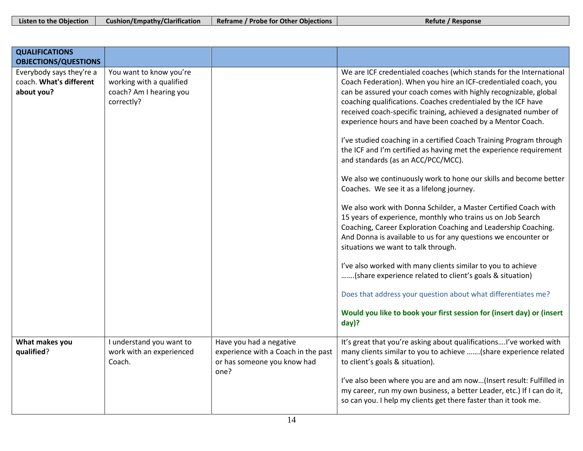| Listen to the Objection | <b>Cushion/Empathy/Clarification</b> | Reframe / Probe for Other Objections | Refute / Response |
|-------------------------|--------------------------------------|--------------------------------------|-------------------|
|-------------------------|--------------------------------------|--------------------------------------|-------------------|

| <b>QUALIFICATIONS</b><br><b>OBJECTIONS/QUESTIONS</b>              |                                                                                              |                                                                                                       |                                                                                                                                                                                                                                                                                                                                                                                                                                                                                                                                                                                                                                                                                                                                                                                                                                                                                                                                                                                                                                                                                                                                                                                                                                                                                                                |
|-------------------------------------------------------------------|----------------------------------------------------------------------------------------------|-------------------------------------------------------------------------------------------------------|----------------------------------------------------------------------------------------------------------------------------------------------------------------------------------------------------------------------------------------------------------------------------------------------------------------------------------------------------------------------------------------------------------------------------------------------------------------------------------------------------------------------------------------------------------------------------------------------------------------------------------------------------------------------------------------------------------------------------------------------------------------------------------------------------------------------------------------------------------------------------------------------------------------------------------------------------------------------------------------------------------------------------------------------------------------------------------------------------------------------------------------------------------------------------------------------------------------------------------------------------------------------------------------------------------------|
| Everybody says they're a<br>coach. What's different<br>about you? | You want to know you're<br>working with a qualified<br>coach? Am I hearing you<br>correctly? |                                                                                                       | We are ICF credentialed coaches (which stands for the International<br>Coach Federation). When you hire an ICF-credentialed coach, you<br>can be assured your coach comes with highly recognizable, global<br>coaching qualifications. Coaches credentialed by the ICF have<br>received coach-specific training, achieved a designated number of<br>experience hours and have been coached by a Mentor Coach.<br>I've studied coaching in a certified Coach Training Program through<br>the ICF and I'm certified as having met the experience requirement<br>and standards (as an ACC/PCC/MCC).<br>We also we continuously work to hone our skills and become better<br>Coaches. We see it as a lifelong journey.<br>We also work with Donna Schilder, a Master Certified Coach with<br>15 years of experience, monthly who trains us on Job Search<br>Coaching, Career Exploration Coaching and Leadership Coaching.<br>And Donna is available to us for any questions we encounter or<br>situations we want to talk through.<br>I've also worked with many clients similar to you to achieve<br>(share experience related to client's goals & situation)<br>Does that address your question about what differentiates me?<br>Would you like to book your first session for (insert day) or (insert<br>day)? |
| What makes you<br>qualified?                                      | I understand you want to<br>work with an experienced<br>Coach.                               | Have you had a negative<br>experience with a Coach in the past<br>or has someone you know had<br>one? | It's great that you're asking about qualificationsI've worked with<br>many clients similar to you to achieve  (share experience related<br>to client's goals & situation).<br>I've also been where you are and am now(Insert result: Fulfilled in<br>my career, run my own business, a better Leader, etc.) If I can do it,<br>so can you. I help my clients get there faster than it took me.                                                                                                                                                                                                                                                                                                                                                                                                                                                                                                                                                                                                                                                                                                                                                                                                                                                                                                                 |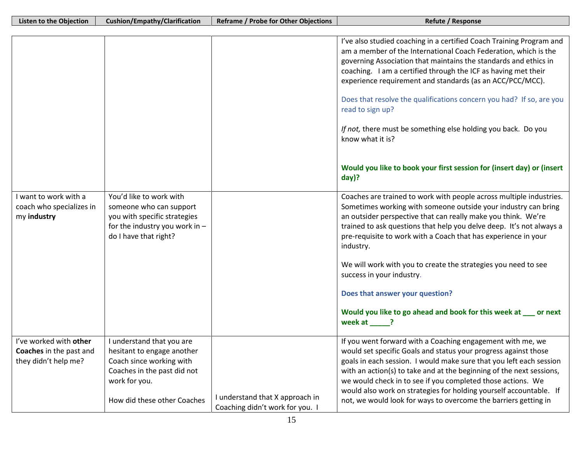|                                                   |                                                         |                                 | I've also studied coaching in a certified Coach Training Program and                                                                  |
|---------------------------------------------------|---------------------------------------------------------|---------------------------------|---------------------------------------------------------------------------------------------------------------------------------------|
|                                                   |                                                         |                                 | am a member of the International Coach Federation, which is the                                                                       |
|                                                   |                                                         |                                 | governing Association that maintains the standards and ethics in                                                                      |
|                                                   |                                                         |                                 | coaching. I am a certified through the ICF as having met their                                                                        |
|                                                   |                                                         |                                 | experience requirement and standards (as an ACC/PCC/MCC).                                                                             |
|                                                   |                                                         |                                 |                                                                                                                                       |
|                                                   |                                                         |                                 | Does that resolve the qualifications concern you had? If so, are you                                                                  |
|                                                   |                                                         |                                 | read to sign up?                                                                                                                      |
|                                                   |                                                         |                                 |                                                                                                                                       |
|                                                   |                                                         |                                 | If not, there must be something else holding you back. Do you                                                                         |
|                                                   |                                                         |                                 | know what it is?                                                                                                                      |
|                                                   |                                                         |                                 |                                                                                                                                       |
|                                                   |                                                         |                                 | Would you like to book your first session for (insert day) or (insert                                                                 |
|                                                   |                                                         |                                 | $day$ ?                                                                                                                               |
|                                                   |                                                         |                                 |                                                                                                                                       |
| I want to work with a<br>coach who specializes in | You'd like to work with<br>someone who can support      |                                 | Coaches are trained to work with people across multiple industries.<br>Sometimes working with someone outside your industry can bring |
| my industry                                       | you with specific strategies                            |                                 | an outsider perspective that can really make you think. We're                                                                         |
|                                                   | for the industry you work in -                          |                                 | trained to ask questions that help you delve deep. It's not always a                                                                  |
|                                                   | do I have that right?                                   |                                 | pre-requisite to work with a Coach that has experience in your                                                                        |
|                                                   |                                                         |                                 | industry.                                                                                                                             |
|                                                   |                                                         |                                 |                                                                                                                                       |
|                                                   |                                                         |                                 | We will work with you to create the strategies you need to see                                                                        |
|                                                   |                                                         |                                 | success in your industry.                                                                                                             |
|                                                   |                                                         |                                 | Does that answer your question?                                                                                                       |
|                                                   |                                                         |                                 |                                                                                                                                       |
|                                                   |                                                         |                                 | Would you like to go ahead and book for this week at __ or next                                                                       |
|                                                   |                                                         |                                 | week at $\_\$ ?                                                                                                                       |
| I've worked with other                            |                                                         |                                 |                                                                                                                                       |
| Coaches in the past and                           | I understand that you are<br>hesitant to engage another |                                 | If you went forward with a Coaching engagement with me, we<br>would set specific Goals and status your progress against those         |
| they didn't help me?                              | Coach since working with                                |                                 | goals in each session. I would make sure that you left each session                                                                   |
|                                                   | Coaches in the past did not                             |                                 | with an action(s) to take and at the beginning of the next sessions,                                                                  |
|                                                   | work for you.                                           |                                 | we would check in to see if you completed those actions. We                                                                           |
|                                                   |                                                         |                                 | would also work on strategies for holding yourself accountable. If                                                                    |
|                                                   | How did these other Coaches                             | I understand that X approach in | not, we would look for ways to overcome the barriers getting in                                                                       |
|                                                   |                                                         | Coaching didn't work for you. I |                                                                                                                                       |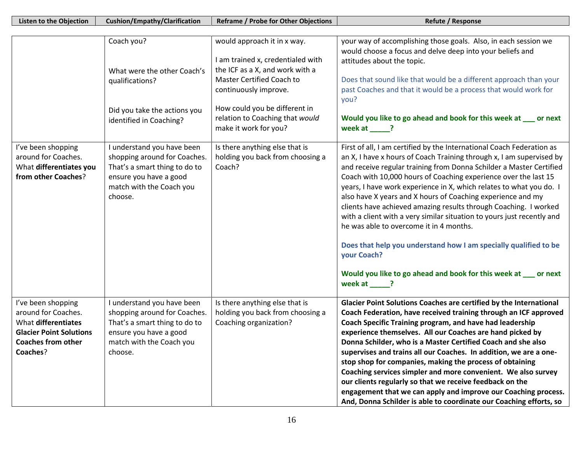| <b>Listen to the Objection</b>                                                                                                              | <b>Cushion/Empathy/Clarification</b>                                                                                                                         | <b>Reframe / Probe for Other Objections</b>                                                                                                                                                                                                                                              | Refute / Response                                                                                                                                                                                                                                                                                                                                                                                                                                                                                                                                                                                                                                                                                                                     |
|---------------------------------------------------------------------------------------------------------------------------------------------|--------------------------------------------------------------------------------------------------------------------------------------------------------------|------------------------------------------------------------------------------------------------------------------------------------------------------------------------------------------------------------------------------------------------------------------------------------------|---------------------------------------------------------------------------------------------------------------------------------------------------------------------------------------------------------------------------------------------------------------------------------------------------------------------------------------------------------------------------------------------------------------------------------------------------------------------------------------------------------------------------------------------------------------------------------------------------------------------------------------------------------------------------------------------------------------------------------------|
|                                                                                                                                             |                                                                                                                                                              |                                                                                                                                                                                                                                                                                          |                                                                                                                                                                                                                                                                                                                                                                                                                                                                                                                                                                                                                                                                                                                                       |
| I've been shopping                                                                                                                          | Coach you?<br>What were the other Coach's<br>qualifications?<br>Did you take the actions you<br>identified in Coaching?<br>I understand you have been        | would approach it in x way.<br>I am trained x, credentialed with<br>the ICF as a X, and work with a<br>Master Certified Coach to<br>continuously improve.<br>How could you be different in<br>relation to Coaching that would<br>make it work for you?<br>Is there anything else that is | your way of accomplishing those goals. Also, in each session we<br>would choose a focus and delve deep into your beliefs and<br>attitudes about the topic.<br>Does that sound like that would be a different approach than your<br>past Coaches and that it would be a process that would work for<br>you?<br>Would you like to go ahead and book for this week at __ or next<br>week at ____?<br>First of all, I am certified by the International Coach Federation as                                                                                                                                                                                                                                                               |
| around for Coaches.<br>What differentiates you<br>from other Coaches?                                                                       | shopping around for Coaches.<br>That's a smart thing to do to<br>ensure you have a good<br>match with the Coach you<br>choose.                               | holding you back from choosing a<br>Coach?                                                                                                                                                                                                                                               | an X, I have x hours of Coach Training through x, I am supervised by<br>and receive regular training from Donna Schilder a Master Certified<br>Coach with 10,000 hours of Coaching experience over the last 15<br>years, I have work experience in X, which relates to what you do. I<br>also have X years and X hours of Coaching experience and my<br>clients have achieved amazing results through Coaching. I worked<br>with a client with a very similar situation to yours just recently and<br>he was able to overcome it in 4 months.<br>Does that help you understand how I am specially qualified to be<br>your Coach?<br>Would you like to go ahead and book for this week at __ or next<br>week at _____?                 |
| I've been shopping<br>around for Coaches.<br>What differentiates<br><b>Glacier Point Solutions</b><br><b>Coaches from other</b><br>Coaches? | I understand you have been<br>shopping around for Coaches.<br>That's a smart thing to do to<br>ensure you have a good<br>match with the Coach you<br>choose. | Is there anything else that is<br>holding you back from choosing a<br>Coaching organization?                                                                                                                                                                                             | Glacier Point Solutions Coaches are certified by the International<br>Coach Federation, have received training through an ICF approved<br>Coach Specific Training program, and have had leadership<br>experience themselves. All our Coaches are hand picked by<br>Donna Schilder, who is a Master Certified Coach and she also<br>supervises and trains all our Coaches. In addition, we are a one-<br>stop shop for companies, making the process of obtaining<br>Coaching services simpler and more convenient. We also survey<br>our clients regularly so that we receive feedback on the<br>engagement that we can apply and improve our Coaching process.<br>And, Donna Schilder is able to coordinate our Coaching efforts, so |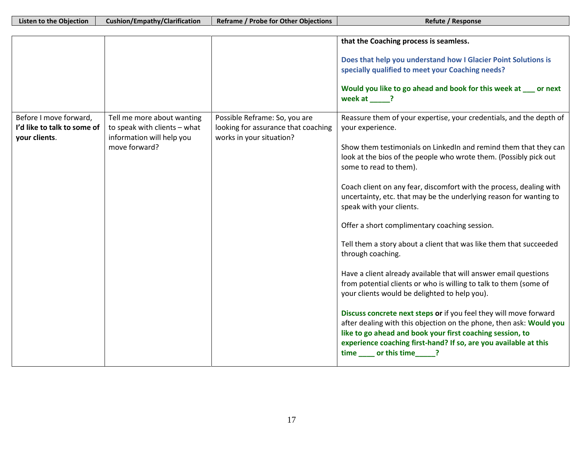|                                                                        |                                                                                                          |                                                                                                  | that the Coaching process is seamless.                                                                                                                                                                                                                                                                                                                                                                                                                                                                                                                                                                                                                                                                                                                                                                                                                                                                                                                                                                                                                                        |
|------------------------------------------------------------------------|----------------------------------------------------------------------------------------------------------|--------------------------------------------------------------------------------------------------|-------------------------------------------------------------------------------------------------------------------------------------------------------------------------------------------------------------------------------------------------------------------------------------------------------------------------------------------------------------------------------------------------------------------------------------------------------------------------------------------------------------------------------------------------------------------------------------------------------------------------------------------------------------------------------------------------------------------------------------------------------------------------------------------------------------------------------------------------------------------------------------------------------------------------------------------------------------------------------------------------------------------------------------------------------------------------------|
|                                                                        |                                                                                                          |                                                                                                  | Does that help you understand how I Glacier Point Solutions is<br>specially qualified to meet your Coaching needs?<br>Would you like to go ahead and book for this week at __ or next<br>week at ?                                                                                                                                                                                                                                                                                                                                                                                                                                                                                                                                                                                                                                                                                                                                                                                                                                                                            |
| Before I move forward,<br>I'd like to talk to some of<br>vour clients. | Tell me more about wanting<br>to speak with clients - what<br>information will help you<br>move forward? | Possible Reframe: So, you are<br>looking for assurance that coaching<br>works in your situation? | Reassure them of your expertise, your credentials, and the depth of<br>your experience.<br>Show them testimonials on LinkedIn and remind them that they can<br>look at the bios of the people who wrote them. (Possibly pick out<br>some to read to them).<br>Coach client on any fear, discomfort with the process, dealing with<br>uncertainty, etc. that may be the underlying reason for wanting to<br>speak with your clients.<br>Offer a short complimentary coaching session.<br>Tell them a story about a client that was like them that succeeded<br>through coaching.<br>Have a client already available that will answer email questions<br>from potential clients or who is willing to talk to them (some of<br>your clients would be delighted to help you).<br>Discuss concrete next steps or if you feel they will move forward<br>after dealing with this objection on the phone, then ask: Would you<br>like to go ahead and book your first coaching session, to<br>experience coaching first-hand? If so, are you available at this<br>time or this time ? |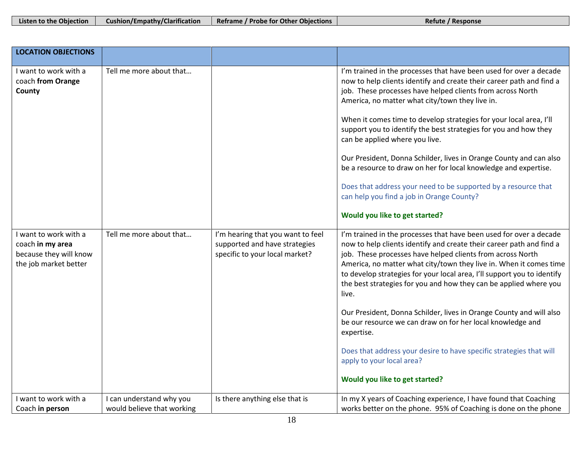| Listen to the Objection | <b>Cushion/Empathy/Clarification</b> | Reframe / Probe for Other Objections | Refute / Response |
|-------------------------|--------------------------------------|--------------------------------------|-------------------|
|                         |                                      |                                      |                   |

| <b>LOCATION OBJECTIONS</b>                                                                   |                                                        |                                                                                                      |                                                                                                                                                                                                                                                                                                                                                                                                                                                                                                                                                                                                                                                                                                                                   |
|----------------------------------------------------------------------------------------------|--------------------------------------------------------|------------------------------------------------------------------------------------------------------|-----------------------------------------------------------------------------------------------------------------------------------------------------------------------------------------------------------------------------------------------------------------------------------------------------------------------------------------------------------------------------------------------------------------------------------------------------------------------------------------------------------------------------------------------------------------------------------------------------------------------------------------------------------------------------------------------------------------------------------|
| I want to work with a<br>coach from Orange<br>County                                         | Tell me more about that                                |                                                                                                      | I'm trained in the processes that have been used for over a decade<br>now to help clients identify and create their career path and find a<br>job. These processes have helped clients from across North<br>America, no matter what city/town they live in.<br>When it comes time to develop strategies for your local area, I'll<br>support you to identify the best strategies for you and how they<br>can be applied where you live.<br>Our President, Donna Schilder, lives in Orange County and can also<br>be a resource to draw on her for local knowledge and expertise.<br>Does that address your need to be supported by a resource that<br>can help you find a job in Orange County?<br>Would you like to get started? |
| I want to work with a<br>coach in my area<br>because they will know<br>the job market better | Tell me more about that                                | I'm hearing that you want to feel<br>supported and have strategies<br>specific to your local market? | I'm trained in the processes that have been used for over a decade<br>now to help clients identify and create their career path and find a<br>job. These processes have helped clients from across North<br>America, no matter what city/town they live in. When it comes time<br>to develop strategies for your local area, I'll support you to identify<br>the best strategies for you and how they can be applied where you<br>live.<br>Our President, Donna Schilder, lives in Orange County and will also<br>be our resource we can draw on for her local knowledge and<br>expertise.<br>Does that address your desire to have specific strategies that will<br>apply to your local area?<br>Would you like to get started?  |
| I want to work with a<br>Coach in person                                                     | I can understand why you<br>would believe that working | Is there anything else that is                                                                       | In my X years of Coaching experience, I have found that Coaching<br>works better on the phone. 95% of Coaching is done on the phone                                                                                                                                                                                                                                                                                                                                                                                                                                                                                                                                                                                               |